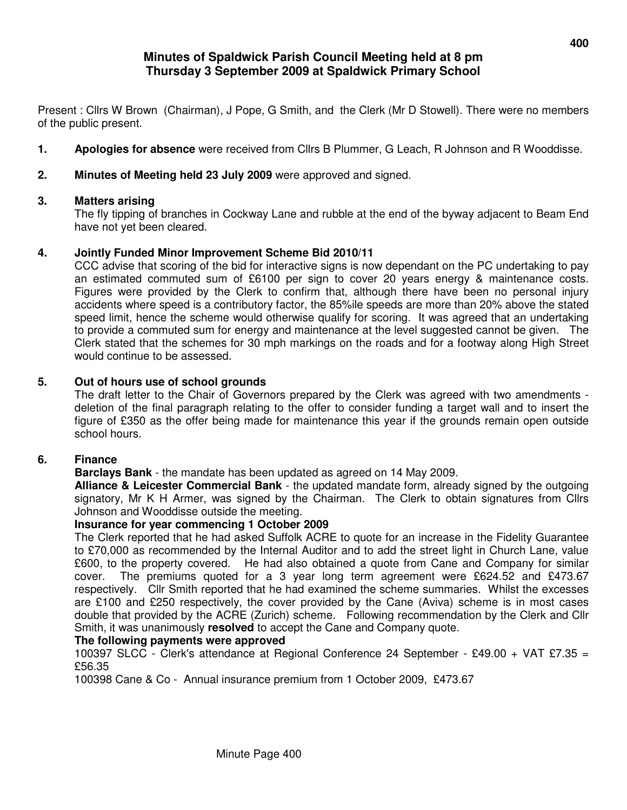# **Minutes of Spaldwick Parish Council Meeting held at 8 pm Thursday 3 September 2009 at Spaldwick Primary School**

Present : Cllrs W Brown (Chairman), J Pope, G Smith, and the Clerk (Mr D Stowell). There were no members of the public present.

- **1. Apologies for absence** were received from Cllrs B Plummer, G Leach, R Johnson and R Wooddisse.
- **2. Minutes of Meeting held 23 July 2009** were approved and signed.

# **3. Matters arising**

The fly tipping of branches in Cockway Lane and rubble at the end of the byway adjacent to Beam End have not yet been cleared.

# **4. Jointly Funded Minor Improvement Scheme Bid 2010/11**

 CCC advise that scoring of the bid for interactive signs is now dependant on the PC undertaking to pay an estimated commuted sum of £6100 per sign to cover 20 years energy & maintenance costs. Figures were provided by the Clerk to confirm that, although there have been no personal injury accidents where speed is a contributory factor, the 85%ile speeds are more than 20% above the stated speed limit, hence the scheme would otherwise qualify for scoring. It was agreed that an undertaking to provide a commuted sum for energy and maintenance at the level suggested cannot be given. The Clerk stated that the schemes for 30 mph markings on the roads and for a footway along High Street would continue to be assessed.

# **5. Out of hours use of school grounds**

The draft letter to the Chair of Governors prepared by the Clerk was agreed with two amendments deletion of the final paragraph relating to the offer to consider funding a target wall and to insert the figure of £350 as the offer being made for maintenance this year if the grounds remain open outside school hours.

# **6. Finance**

# **Barclays Bank** - the mandate has been updated as agreed on 14 May 2009.

**Alliance & Leicester Commercial Bank** - the updated mandate form, already signed by the outgoing signatory, Mr K H Armer, was signed by the Chairman. The Clerk to obtain signatures from Cllrs Johnson and Wooddisse outside the meeting.

# **Insurance for year commencing 1 October 2009**

The Clerk reported that he had asked Suffolk ACRE to quote for an increase in the Fidelity Guarantee to £70,000 as recommended by the Internal Auditor and to add the street light in Church Lane, value £600, to the property covered. He had also obtained a quote from Cane and Company for similar cover. The premiums quoted for a 3 year long term agreement were £624.52 and £473.67 respectively. Cllr Smith reported that he had examined the scheme summaries. Whilst the excesses are £100 and £250 respectively, the cover provided by the Cane (Aviva) scheme is in most cases double that provided by the ACRE (Zurich) scheme. Following recommendation by the Clerk and Cllr Smith, it was unanimously **resolved** to accept the Cane and Company quote.

# **The following payments were approved**

100397 SLCC - Clerk's attendance at Regional Conference 24 September - £49.00 + VAT £7.35 = £56.35

100398 Cane & Co - Annual insurance premium from 1 October 2009, £473.67